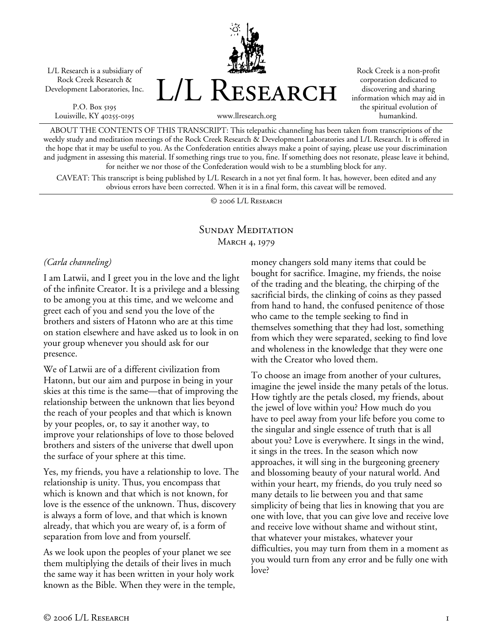L/L Research is a subsidiary of Rock Creek Research & Development Laboratories, Inc.

P.O. Box 5195 Louisville, KY 40255-0195 L/L Research

Rock Creek is a non-profit corporation dedicated to discovering and sharing information which may aid in the spiritual evolution of humankind.

www.llresearch.org

ABOUT THE CONTENTS OF THIS TRANSCRIPT: This telepathic channeling has been taken from transcriptions of the weekly study and meditation meetings of the Rock Creek Research & Development Laboratories and L/L Research. It is offered in the hope that it may be useful to you. As the Confederation entities always make a point of saying, please use your discrimination and judgment in assessing this material. If something rings true to you, fine. If something does not resonate, please leave it behind, for neither we nor those of the Confederation would wish to be a stumbling block for any.

CAVEAT: This transcript is being published by L/L Research in a not yet final form. It has, however, been edited and any obvious errors have been corrected. When it is in a final form, this caveat will be removed.

© 2006 L/L Research

## SUNDAY MEDITATION MARCH 4, 1979

#### *(Carla channeling)*

I am Latwii, and I greet you in the love and the light of the infinite Creator. It is a privilege and a blessing to be among you at this time, and we welcome and greet each of you and send you the love of the brothers and sisters of Hatonn who are at this time on station elsewhere and have asked us to look in on your group whenever you should ask for our presence.

We of Latwii are of a different civilization from Hatonn, but our aim and purpose in being in your skies at this time is the same—that of improving the relationship between the unknown that lies beyond the reach of your peoples and that which is known by your peoples, or, to say it another way, to improve your relationships of love to those beloved brothers and sisters of the universe that dwell upon the surface of your sphere at this time.

Yes, my friends, you have a relationship to love. The relationship is unity. Thus, you encompass that which is known and that which is not known, for love is the essence of the unknown. Thus, discovery is always a form of love, and that which is known already, that which you are weary of, is a form of separation from love and from yourself.

As we look upon the peoples of your planet we see them multiplying the details of their lives in much the same way it has been written in your holy work known as the Bible. When they were in the temple, money changers sold many items that could be bought for sacrifice. Imagine, my friends, the noise of the trading and the bleating, the chirping of the sacrificial birds, the clinking of coins as they passed from hand to hand, the confused penitence of those who came to the temple seeking to find in themselves something that they had lost, something from which they were separated, seeking to find love and wholeness in the knowledge that they were one with the Creator who loved them.

To choose an image from another of your cultures, imagine the jewel inside the many petals of the lotus. How tightly are the petals closed, my friends, about the jewel of love within you? How much do you have to peel away from your life before you come to the singular and single essence of truth that is all about you? Love is everywhere. It sings in the wind, it sings in the trees. In the season which now approaches, it will sing in the burgeoning greenery and blossoming beauty of your natural world. And within your heart, my friends, do you truly need so many details to lie between you and that same simplicity of being that lies in knowing that you are one with love, that you can give love and receive love and receive love without shame and without stint, that whatever your mistakes, whatever your difficulties, you may turn from them in a moment as you would turn from any error and be fully one with love?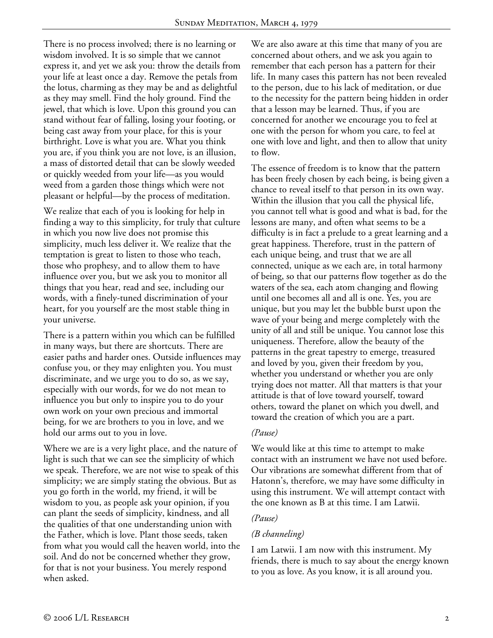There is no process involved; there is no learning or wisdom involved. It is so simple that we cannot express it, and yet we ask you: throw the details from your life at least once a day. Remove the petals from the lotus, charming as they may be and as delightful as they may smell. Find the holy ground. Find the jewel, that which is love. Upon this ground you can stand without fear of falling, losing your footing, or being cast away from your place, for this is your birthright. Love is what you are. What you think you are, if you think you are not love, is an illusion, a mass of distorted detail that can be slowly weeded or quickly weeded from your life—as you would weed from a garden those things which were not pleasant or helpful—by the process of meditation.

We realize that each of you is looking for help in finding a way to this simplicity, for truly that culture in which you now live does not promise this simplicity, much less deliver it. We realize that the temptation is great to listen to those who teach, those who prophesy, and to allow them to have influence over you, but we ask you to monitor all things that you hear, read and see, including our words, with a finely-tuned discrimination of your heart, for you yourself are the most stable thing in your universe.

There is a pattern within you which can be fulfilled in many ways, but there are shortcuts. There are easier paths and harder ones. Outside influences may confuse you, or they may enlighten you. You must discriminate, and we urge you to do so, as we say, especially with our words, for we do not mean to influence you but only to inspire you to do your own work on your own precious and immortal being, for we are brothers to you in love, and we hold our arms out to you in love.

Where we are is a very light place, and the nature of light is such that we can see the simplicity of which we speak. Therefore, we are not wise to speak of this simplicity; we are simply stating the obvious. But as you go forth in the world, my friend, it will be wisdom to you, as people ask your opinion, if you can plant the seeds of simplicity, kindness, and all the qualities of that one understanding union with the Father, which is love. Plant those seeds, taken from what you would call the heaven world, into the soil. And do not be concerned whether they grow, for that is not your business. You merely respond when asked.

We are also aware at this time that many of you are concerned about others, and we ask you again to remember that each person has a pattern for their life. In many cases this pattern has not been revealed to the person, due to his lack of meditation, or due to the necessity for the pattern being hidden in order that a lesson may be learned. Thus, if you are concerned for another we encourage you to feel at one with the person for whom you care, to feel at one with love and light, and then to allow that unity to flow.

The essence of freedom is to know that the pattern has been freely chosen by each being, is being given a chance to reveal itself to that person in its own way. Within the illusion that you call the physical life, you cannot tell what is good and what is bad, for the lessons are many, and often what seems to be a difficulty is in fact a prelude to a great learning and a great happiness. Therefore, trust in the pattern of each unique being, and trust that we are all connected, unique as we each are, in total harmony of being, so that our patterns flow together as do the waters of the sea, each atom changing and flowing until one becomes all and all is one. Yes, you are unique, but you may let the bubble burst upon the wave of your being and merge completely with the unity of all and still be unique. You cannot lose this uniqueness. Therefore, allow the beauty of the patterns in the great tapestry to emerge, treasured and loved by you, given their freedom by you, whether you understand or whether you are only trying does not matter. All that matters is that your attitude is that of love toward yourself, toward others, toward the planet on which you dwell, and toward the creation of which you are a part.

#### *(Pause)*

We would like at this time to attempt to make contact with an instrument we have not used before. Our vibrations are somewhat different from that of Hatonn's, therefore, we may have some difficulty in using this instrument. We will attempt contact with the one known as B at this time. I am Latwii.

#### *(Pause)*

#### *(B channeling)*

I am Latwii. I am now with this instrument. My friends, there is much to say about the energy known to you as love. As you know, it is all around you.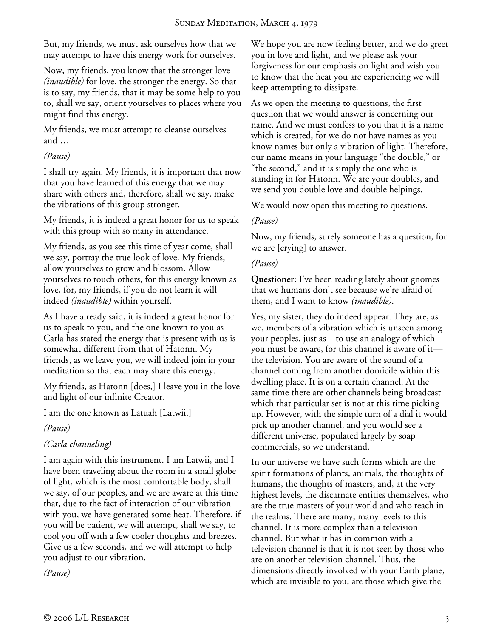But, my friends, we must ask ourselves how that we may attempt to have this energy work for ourselves.

Now, my friends, you know that the stronger love *(inaudible)* for love, the stronger the energy. So that is to say, my friends, that it may be some help to you to, shall we say, orient yourselves to places where you might find this energy.

My friends, we must attempt to cleanse ourselves and …

## *(Pause)*

I shall try again. My friends, it is important that now that you have learned of this energy that we may share with others and, therefore, shall we say, make the vibrations of this group stronger.

My friends, it is indeed a great honor for us to speak with this group with so many in attendance.

My friends, as you see this time of year come, shall we say, portray the true look of love. My friends, allow yourselves to grow and blossom. Allow yourselves to touch others, for this energy known as love, for, my friends, if you do not learn it will indeed *(inaudible)* within yourself.

As I have already said, it is indeed a great honor for us to speak to you, and the one known to you as Carla has stated the energy that is present with us is somewhat different from that of Hatonn. My friends, as we leave you, we will indeed join in your meditation so that each may share this energy.

My friends, as Hatonn [does,] I leave you in the love and light of our infinite Creator.

I am the one known as Latuah [Latwii.]

*(Pause)* 

# *(Carla channeling)*

I am again with this instrument. I am Latwii, and I have been traveling about the room in a small globe of light, which is the most comfortable body, shall we say, of our peoples, and we are aware at this time that, due to the fact of interaction of our vibration with you, we have generated some heat. Therefore, if you will be patient, we will attempt, shall we say, to cool you off with a few cooler thoughts and breezes. Give us a few seconds, and we will attempt to help you adjust to our vibration.

*(Pause)* 

We hope you are now feeling better, and we do greet you in love and light, and we please ask your forgiveness for our emphasis on light and wish you to know that the heat you are experiencing we will keep attempting to dissipate.

As we open the meeting to questions, the first question that we would answer is concerning our name. And we must confess to you that it is a name which is created, for we do not have names as you know names but only a vibration of light. Therefore, our name means in your language "the double," or "the second," and it is simply the one who is standing in for Hatonn. We are your doubles, and we send you double love and double helpings.

We would now open this meeting to questions.

## *(Pause)*

Now, my friends, surely someone has a question, for we are [crying] to answer.

## *(Pause)*

**Questioner:** I've been reading lately about gnomes that we humans don't see because we're afraid of them, and I want to know *(inaudible)*.

Yes, my sister, they do indeed appear. They are, as we, members of a vibration which is unseen among your peoples, just as—to use an analogy of which you must be aware, for this channel is aware of it the television. You are aware of the sound of a channel coming from another domicile within this dwelling place. It is on a certain channel. At the same time there are other channels being broadcast which that particular set is not at this time picking up. However, with the simple turn of a dial it would pick up another channel, and you would see a different universe, populated largely by soap commercials, so we understand.

In our universe we have such forms which are the spirit formations of plants, animals, the thoughts of humans, the thoughts of masters, and, at the very highest levels, the discarnate entities themselves, who are the true masters of your world and who teach in the realms. There are many, many levels to this channel. It is more complex than a television channel. But what it has in common with a television channel is that it is not seen by those who are on another television channel. Thus, the dimensions directly involved with your Earth plane, which are invisible to you, are those which give the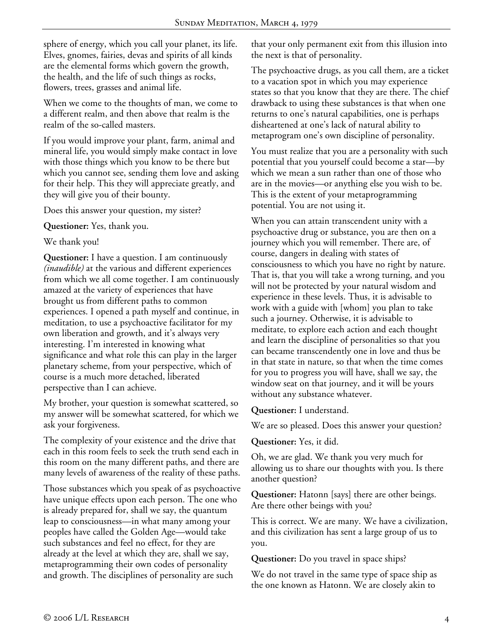sphere of energy, which you call your planet, its life. Elves, gnomes, fairies, devas and spirits of all kinds are the elemental forms which govern the growth, the health, and the life of such things as rocks, flowers, trees, grasses and animal life.

When we come to the thoughts of man, we come to a different realm, and then above that realm is the realm of the so-called masters.

If you would improve your plant, farm, animal and mineral life, you would simply make contact in love with those things which you know to be there but which you cannot see, sending them love and asking for their help. This they will appreciate greatly, and they will give you of their bounty.

Does this answer your question, my sister?

**Questioner:** Yes, thank you.

We thank you!

**Questioner:** I have a question. I am continuously *(inaudible)* at the various and different experiences from which we all come together. I am continuously amazed at the variety of experiences that have brought us from different paths to common experiences. I opened a path myself and continue, in meditation, to use a psychoactive facilitator for my own liberation and growth, and it's always very interesting. I'm interested in knowing what significance and what role this can play in the larger planetary scheme, from your perspective, which of course is a much more detached, liberated perspective than I can achieve.

My brother, your question is somewhat scattered, so my answer will be somewhat scattered, for which we ask your forgiveness.

The complexity of your existence and the drive that each in this room feels to seek the truth send each in this room on the many different paths, and there are many levels of awareness of the reality of these paths.

Those substances which you speak of as psychoactive have unique effects upon each person. The one who is already prepared for, shall we say, the quantum leap to consciousness—in what many among your peoples have called the Golden Age—would take such substances and feel no effect, for they are already at the level at which they are, shall we say, metaprogramming their own codes of personality and growth. The disciplines of personality are such

that your only permanent exit from this illusion into the next is that of personality.

The psychoactive drugs, as you call them, are a ticket to a vacation spot in which you may experience states so that you know that they are there. The chief drawback to using these substances is that when one returns to one's natural capabilities, one is perhaps disheartened at one's lack of natural ability to metaprogram one's own discipline of personality.

You must realize that you are a personality with such potential that you yourself could become a star—by which we mean a sun rather than one of those who are in the movies—or anything else you wish to be. This is the extent of your metaprogramming potential. You are not using it.

When you can attain transcendent unity with a psychoactive drug or substance, you are then on a journey which you will remember. There are, of course, dangers in dealing with states of consciousness to which you have no right by nature. That is, that you will take a wrong turning, and you will not be protected by your natural wisdom and experience in these levels. Thus, it is advisable to work with a guide with [whom] you plan to take such a journey. Otherwise, it is advisable to meditate, to explore each action and each thought and learn the discipline of personalities so that you can became transcendently one in love and thus be in that state in nature, so that when the time comes for you to progress you will have, shall we say, the window seat on that journey, and it will be yours without any substance whatever.

**Questioner:** I understand.

We are so pleased. Does this answer your question?

**Questioner:** Yes, it did.

Oh, we are glad. We thank you very much for allowing us to share our thoughts with you. Is there another question?

**Questioner:** Hatonn [says] there are other beings. Are there other beings with you?

This is correct. We are many. We have a civilization, and this civilization has sent a large group of us to you.

**Questioner:** Do you travel in space ships?

We do not travel in the same type of space ship as the one known as Hatonn. We are closely akin to